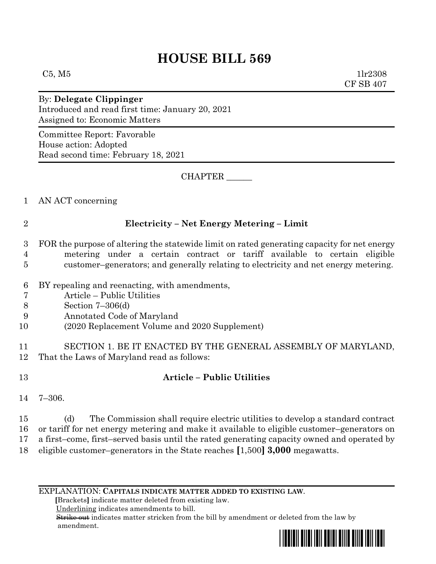## **HOUSE BILL 569**

 $C5, M5$  1lr2308 CF SB 407

By: **Delegate Clippinger** Introduced and read first time: January 20, 2021 Assigned to: Economic Matters

Committee Report: Favorable House action: Adopted Read second time: February 18, 2021

CHAPTER \_\_\_\_\_\_

1 AN ACT concerning

## 2 **Electricity – Net Energy Metering – Limit**

3 FOR the purpose of altering the statewide limit on rated generating capacity for net energy 4 metering under a certain contract or tariff available to certain eligible 5 customer–generators; and generally relating to electricity and net energy metering.

- 6 BY repealing and reenacting, with amendments,
- 7 Article Public Utilities
- 8 Section 7–306(d)
- 9 Annotated Code of Maryland
- 10 (2020 Replacement Volume and 2020 Supplement)
- 11 SECTION 1. BE IT ENACTED BY THE GENERAL ASSEMBLY OF MARYLAND, 12 That the Laws of Maryland read as follows:
- 

## 13 **Article – Public Utilities**

14 7–306.

 (d) The Commission shall require electric utilities to develop a standard contract or tariff for net energy metering and make it available to eligible customer–generators on a first–come, first–served basis until the rated generating capacity owned and operated by eligible customer–generators in the State reaches **[**1,500**] 3,000** megawatts.

EXPLANATION: **CAPITALS INDICATE MATTER ADDED TO EXISTING LAW**.

 **[**Brackets**]** indicate matter deleted from existing law.

Underlining indicates amendments to bill.

 Strike out indicates matter stricken from the bill by amendment or deleted from the law by amendment.